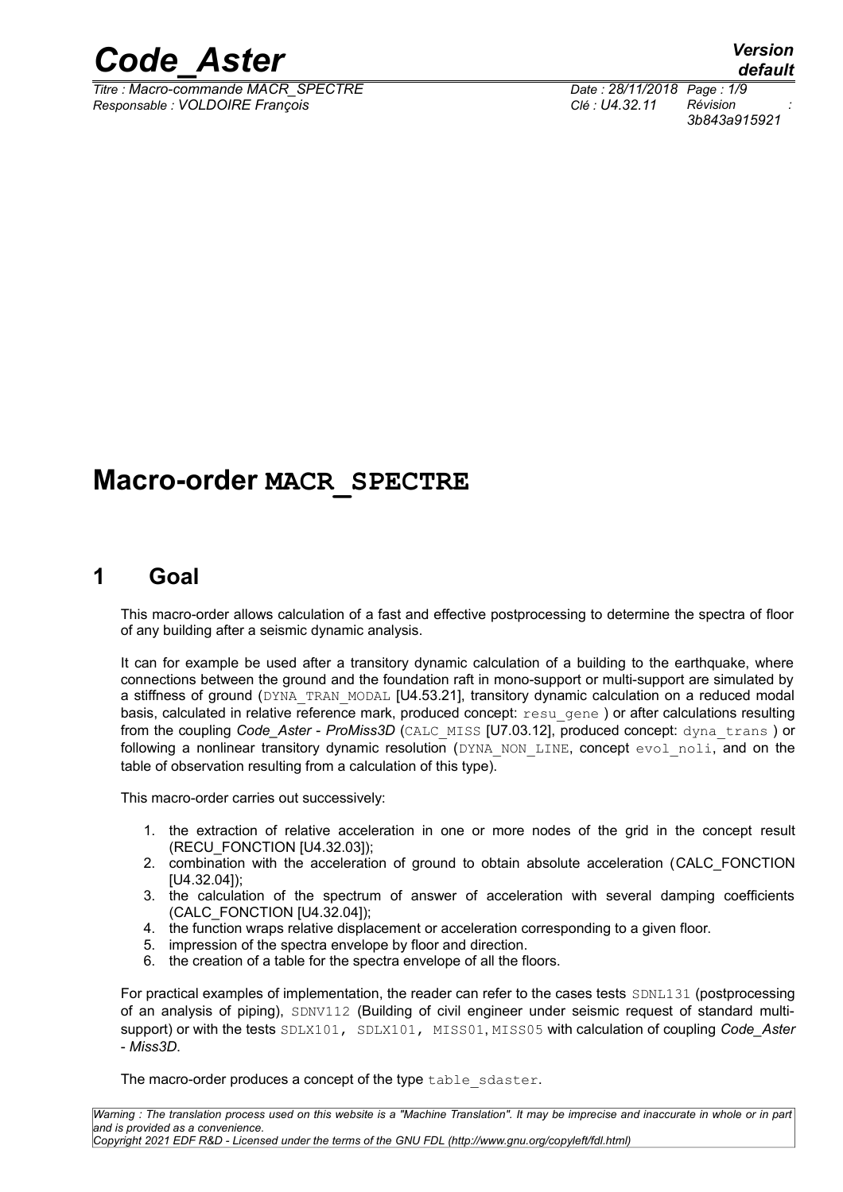

*Titre : Macro-commande MACR\_SPECTRE Date : 28/11/2018 Page : 1/9 Responsable : VOLDOIRE François Clé : U4.32.11 Révision :*

*3b843a915921*

# **Macro-order MACR\_SPECTRE**

# **1 Goal**

This macro-order allows calculation of a fast and effective postprocessing to determine the spectra of floor of any building after a seismic dynamic analysis.

It can for example be used after a transitory dynamic calculation of a building to the earthquake, where connections between the ground and the foundation raft in mono-support or multi-support are simulated by a stiffness of ground (DYNA\_TRAN\_MODAL [U4.53.21], transitory dynamic calculation on a reduced modal basis, calculated in relative reference mark, produced concept: resu gene) or after calculations resulting from the coupling *Code\_Aster* - *ProMiss3D* (CALC\_MISS [U7.03.12], produced concept: dyna\_trans ) or following a nonlinear transitory dynamic resolution (DYNA NON LINE, concept evol noli, and on the table of observation resulting from a calculation of this type).

This macro-order carries out successively:

- 1. the extraction of relative acceleration in one or more nodes of the grid in the concept result (RECU\_FONCTION [U4.32.03]);
- 2. combination with the acceleration of ground to obtain absolute acceleration (CALC\_FONCTION [U4.32.04]);
- 3. the calculation of the spectrum of answer of acceleration with several damping coefficients (CALC\_FONCTION [U4.32.04]);
- 4. the function wraps relative displacement or acceleration corresponding to a given floor.
- 5. impression of the spectra envelope by floor and direction.
- 6. the creation of a table for the spectra envelope of all the floors.

For practical examples of implementation, the reader can refer to the cases tests SDNL131 (postprocessing of an analysis of piping), SDNV112 (Building of civil engineer under seismic request of standard multisupport) or with the tests SDLX101, SDLX101, MISS01, MISS05 with calculation of coupling *Code\_Aster* - *Miss3D*.

The macro-order produces a concept of the type table sdaster.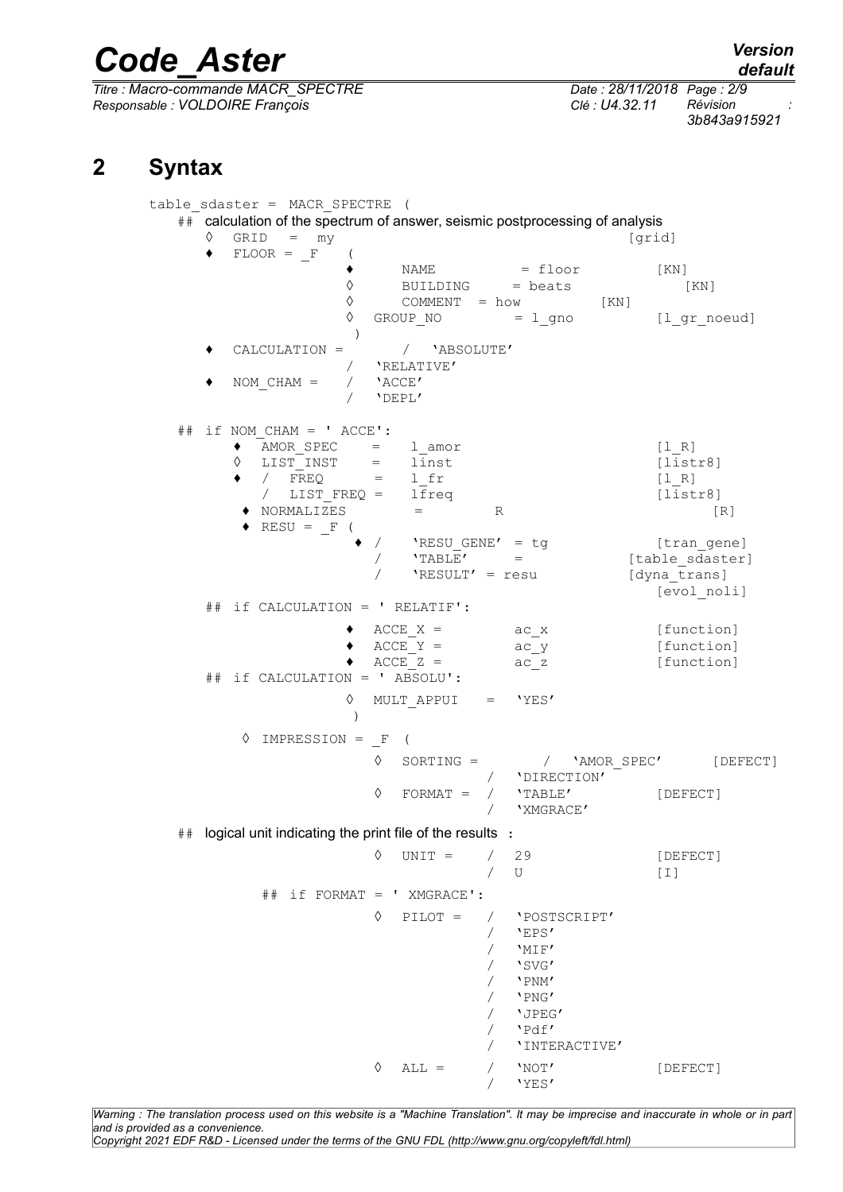*Titre : Macro-commande MACR\_SPECTRE Date : 28/11/2018 Page : 2/9 Responsable : VOLDOIRE François Clé : U4.32.11 Révision :*

*3b843a915921*

# **2 Syntax**

table\_sdaster = MACR\_SPECTRE ( ## calculation of the spectrum of answer, seismic postprocessing of analysis  $\Diamond$  GRID = my [grid]  $\blacklozenge$  FLOOR = F (  $\bullet$  NAME = floor [KN]  $\Diamond$  BUILDING = beats [KN] ◊ COMMENT = how [KN] [l gr noeud] ) ♦ CALCULATION = / 'ABSOLUTE' / **'RELATIVE'**<br>/ 'ACCE'  $\bullet$  NOM CHAM = / / 'DEPL' ## if NOM\_CHAM = ' ACCE':  $\uparrow$  AMOR\_SPEC = 1\_amor [1\_R]<br>  $\lozenge$  LIST INST = linst [list [list  $LIST\_INST = 1 inst$  [listr8]<br>
/ FREQ = 1 fr [1 R]  $\bullet$  / FREQ = l fr [l\_R] / LIST FREQ =  $l\bar{f}req$  [listr8]  $\bullet$  NORMALIZES = R [R]  $\triangleleft$  RESU = F ( / 'RESUGENE' = tg [tran gene] / 'TABLE' = [table sdaster] / 'RESULT' = resu [dyna trans] [evol\_noli] ## if CALCULATION = ' RELATIF':  $\triangleleft$  ACCE X = ac x [function]  $\uparrow$  ACCE  $Y = \overline{AC}$  ac  $\overline{Y}$  [function]  $\triangleleft$  ACCE<sup> $Z$ </sup> =  $ac^Z$  [function] ## if CALCULATION = ' ABSOLU': ◊ MULT\_APPUI = 'YES' ) ◊ IMPRESSION = \_F ( ◊ SORTING = / 'AMOR\_SPEC' [DEFECT] / 'DIRECTION' ◊ FORMAT = / 'TABLE' [DEFECT] / 'XMGRACE'  $\#$  logical unit indicating the print file of the results : ◊ UNIT = / 29 [DEFECT] / U [I] ## if FORMAT = ' XMGRACE': ◊ PILOT = / 'POSTSCRIPT' / 'EPS' / 'MIF' / 'SVG' / 'PNM' / 'PNG' / 'JPEG' / 'Pdf' / 'INTERACTIVE'  $\Diamond$  ALL = / 'NOT' [DEFECT] / 'YES'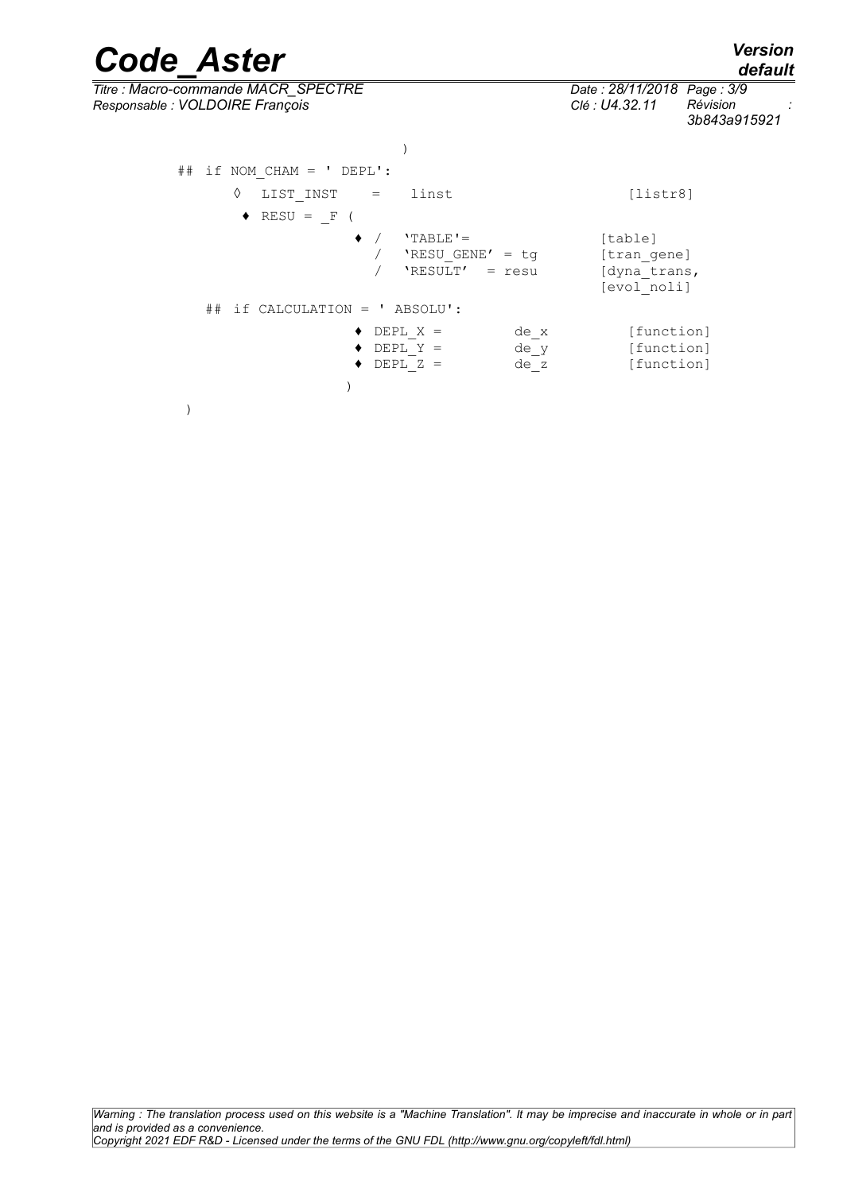# *default*

# *Code\_Aster Version*

*Titre : Macro-commande MACR\_SPECTRE Date : 28/11/2018 Page : 3/9 Responsable : VOLDOIRE François Clé : U4.32.11 Révision :*

*3b843a915921*

| ##                             |  | if NOM CHAM = $'$ DEPL': |                                                      |                      |                                                       |
|--------------------------------|--|--------------------------|------------------------------------------------------|----------------------|-------------------------------------------------------|
|                                |  | ♦<br>LIST INST = linst   |                                                      |                      | [liststr8]                                            |
|                                |  | $RESU = F$ (<br>٠        |                                                      |                      |                                                       |
|                                |  |                          | $'TABLE' =$<br>'RESU GENE' = $tq$<br>'RESULT' = resu |                      | [table]<br>[tran gene]<br>[dyna trans,<br>[evol noli] |
| ## if CALCULATION = ' ABSOLU': |  |                          |                                                      |                      |                                                       |
|                                |  |                          | $DEPL X =$<br>$DEPL Y =$<br>$DEPL Z =$               | de x<br>de y<br>de z | [function]<br>[function]<br>[function]                |
|                                |  |                          |                                                      |                      |                                                       |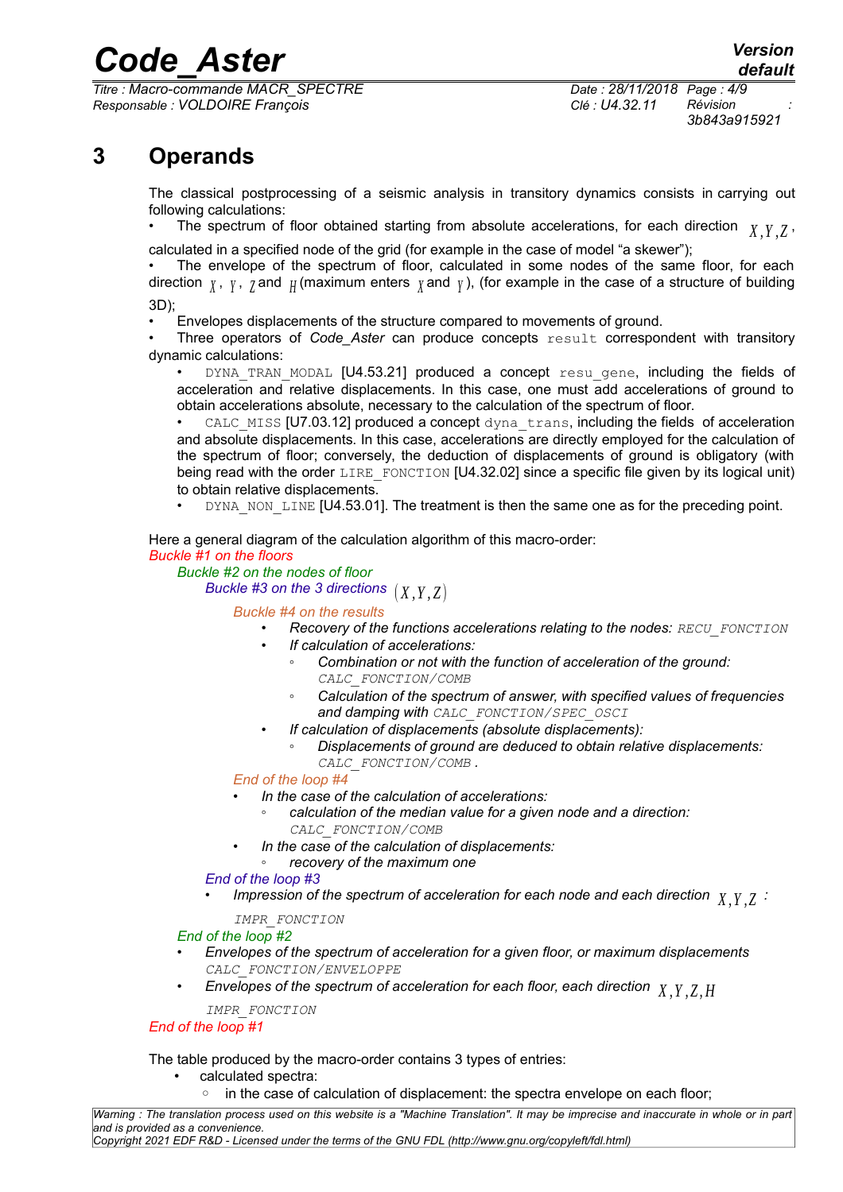*Titre : Macro-commande MACR\_SPECTRE Date : 28/11/2018 Page : 4/9 Responsable : VOLDOIRE François Clé : U4.32.11 Révision :*

*3b843a915921*

# **3 Operands**

The classical postprocessing of a seismic analysis in transitory dynamics consists in carrying out following calculations:

- The spectrum of floor obtained starting from absolute accelerations, for each direction *<sup>X</sup> ,Y ,Z* ,
- calculated in a specified node of the grid (for example in the case of model "a skewer");

The envelope of the spectrum of floor, calculated in some nodes of the same floor, for each direction *<sup>X</sup>* , *<sup>Y</sup>* , *<sup>Z</sup>* and *<sup>H</sup>* (maximum enters *<sup>X</sup>* and *<sup>Y</sup>* ), (for example in the case of a structure of building

3D);

• Envelopes displacements of the structure compared to movements of ground.

Three operators of *Code Aster* can produce concepts result correspondent with transitory dynamic calculations:

DYNA TRAN MODAL [U4.53.21] produced a concept resu gene, including the fields of acceleration and relative displacements. In this case, one must add accelerations of ground to obtain accelerations absolute, necessary to the calculation of the spectrum of floor.

CALC\_MISS [U7.03.12] produced a concept  $dyna$  trans, including the fields of acceleration and absolute displacements. In this case, accelerations are directly employed for the calculation of the spectrum of floor; conversely, the deduction of displacements of ground is obligatory (with being read with the order  $LIRE$  FONCTION [U4.32.02] since a specific file given by its logical unit) to obtain relative displacements.

DYNA NON LINE [U4.53.01]. The treatment is then the same one as for the preceding point.

Here a general diagram of the calculation algorithm of this macro-order:

#### *Buckle #1 on the floors*

*Buckle #2 on the nodes of floor Buckle #3 on the 3 directions*  $(X, Y, Z)$ 

*Buckle #4 on the results*

- *• Recovery of the functions accelerations relating to the nodes: RECU\_FONCTION*
- *• If calculation of accelerations:*
	- *◦ Combination or not with the function of acceleration of the ground: CALC\_FONCTION/COMB*
	- *◦ Calculation of the spectrum of answer, with specified values of frequencies and damping with CALC\_FONCTION/SPEC\_OSCI*
	- *• If calculation of displacements (absolute displacements):*
		- *◦ Displacements of ground are deduced to obtain relative displacements:*
		- *CALC\_FONCTION/COMB .*

#### *End of the loop #4*

- *• In the case of the calculation of accelerations:*
	- *◦ calculation of the median value for a given node and a direction: CALC\_FONCTION/COMB*
	- *• In the case of the calculation of displacements:*
- *◦ recovery of the maximum one*

#### *End of the loop #3*

*• Impression of the spectrum of acceleration for each node and each direction <sup>X</sup> ,Y ,Z :* 

*IMPR\_FONCTION*

#### *End of the loop #2*

- *• Envelopes of the spectrum of acceleration for a given floor, or maximum displacements CALC\_FONCTION/ENVELOPPE*
- *• Envelopes of the spectrum of acceleration for each floor, each direction <sup>X</sup> ,Y ,Z, <sup>H</sup>*

*IMPR\_FONCTION*

#### *End of the loop #1*

The table produced by the macro-order contains 3 types of entries:

- calculated spectra:
	- in the case of calculation of displacement: the spectra envelope on each floor;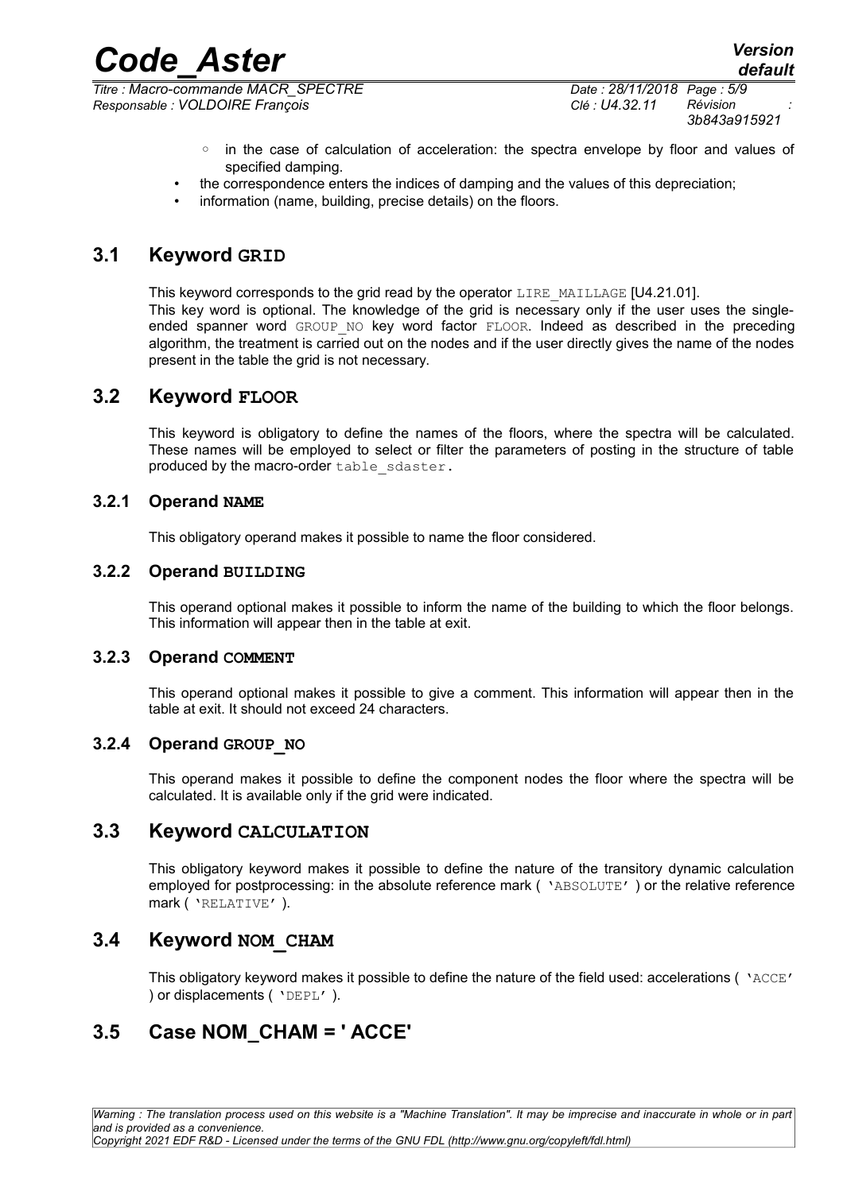*Titre : Macro-commande MACR\_SPECTRE Date : 28/11/2018 Page : 5/9 Responsable : VOLDOIRE François Clé : U4.32.11 Révision :*

- in the case of calculation of acceleration: the spectra envelope by floor and values of specified damping.
- the correspondence enters the indices of damping and the values of this depreciation;
- information (name, building, precise details) on the floors.

### **3.1 Keyword GRID**

This keyword corresponds to the grid read by the operator LIRE\_MAILLAGE [U4.21.01]. This key word is optional. The knowledge of the grid is necessary only if the user uses the singleended spanner word GROUP NO key word factor FLOOR. Indeed as described in the preceding algorithm, the treatment is carried out on the nodes and if the user directly gives the name of the nodes present in the table the grid is not necessary.

### **3.2 Keyword FLOOR**

This keyword is obligatory to define the names of the floors, where the spectra will be calculated. These names will be employed to select or filter the parameters of posting in the structure of table produced by the macro-order table sdaster.

#### **3.2.1 Operand NAME**

This obligatory operand makes it possible to name the floor considered.

#### **3.2.2 Operand BUILDING**

This operand optional makes it possible to inform the name of the building to which the floor belongs. This information will appear then in the table at exit.

#### **3.2.3 Operand COMMENT**

This operand optional makes it possible to give a comment. This information will appear then in the table at exit. It should not exceed 24 characters.

#### **3.2.4 Operand GROUP\_NO**

This operand makes it possible to define the component nodes the floor where the spectra will be calculated. It is available only if the grid were indicated.

#### **3.3 Keyword CALCULATION**

This obligatory keyword makes it possible to define the nature of the transitory dynamic calculation employed for postprocessing: in the absolute reference mark ( 'ABSOLUTE' ) or the relative reference mark ( 'RELATIVE' ).

### **3.4 Keyword NOM\_CHAM**

This obligatory keyword makes it possible to define the nature of the field used: accelerations ( 'ACCE' ) or displacements ( 'DEPL' ).

## **3.5 Case NOM\_CHAM = ' ACCE'**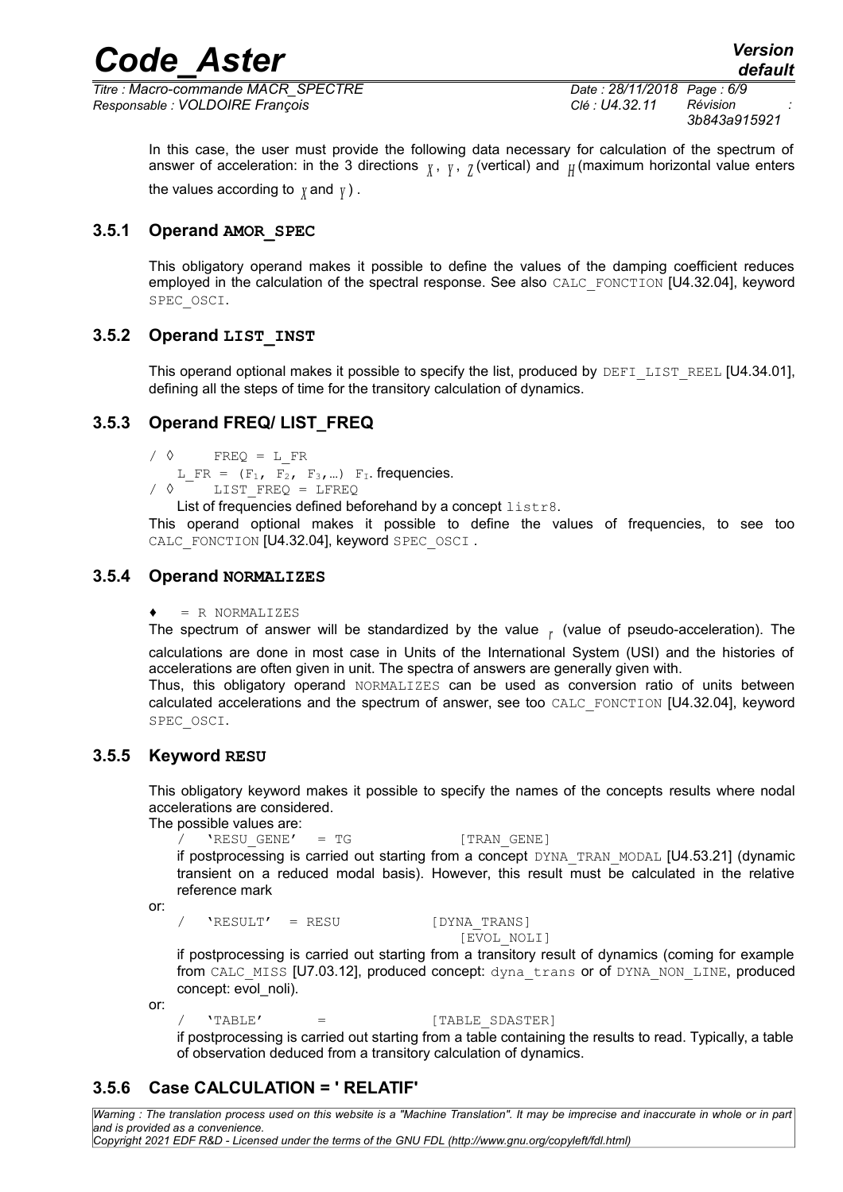*Titre : Macro-commande MACR\_SPECTRE Date : 28/11/2018 Page : 6/9 Responsable : VOLDOIRE François Clé : U4.32.11 Révision :*

*3b843a915921*

In this case, the user must provide the following data necessary for calculation of the spectrum of answer of acceleration: in the 3 directions  $_X$ ,  $_Y$ ,  $_Z$  (vertical) and  $_H$  (maximum horizontal value enters the values according to *<sup>X</sup>* and *<sup>Y</sup>* ) .

#### **3.5.1 Operand AMOR\_SPEC**

This obligatory operand makes it possible to define the values of the damping coefficient reduces employed in the calculation of the spectral response. See also CALC FONCTION [U4.32.04], keyword SPEC\_OSCI.

#### **3.5.2 Operand LIST\_INST**

This operand optional makes it possible to specify the list, produced by DEFI\_LIST\_REEL [U4.34.01], defining all the steps of time for the transitory calculation of dynamics.

#### **3.5.3 Operand FREQ/ LIST\_FREQ**

 $\angle$   $\Diamond$  FREQ = L FR L FR =  $(F_1, F_2, F_3, ...)$  F<sub>I</sub>. frequencies.  $\sqrt{\circ}$  LIST FREQ = LFREQ

List of frequencies defined beforehand by a concept listr8.

This operand optional makes it possible to define the values of frequencies, to see too CALC\_FONCTION [U4.32.04], keyword SPEC\_OSCI.

#### **3.5.4 Operand NORMALIZES**

 $= R$  NORMALIZES

The spectrum of answer will be standardized by the value *<sup>r</sup>* (value of pseudo-acceleration). The

calculations are done in most case in Units of the International System (USI) and the histories of accelerations are often given in unit. The spectra of answers are generally given with.

Thus, this obligatory operand NORMALIZES can be used as conversion ratio of units between calculated accelerations and the spectrum of answer, see too CALC\_FONCTION [U4.32.04], keyword SPEC\_OSCI.

#### **3.5.5 Keyword RESU**

This obligatory keyword makes it possible to specify the names of the concepts results where nodal accelerations are considered.

The possible values are:

 $/$  'RESUGENE' = TG [TRANGENE]

if postprocessing is carried out starting from a concept DYNA\_TRAN\_MODAL [U4.53.21] (dynamic transient on a reduced modal basis). However, this result must be calculated in the relative reference mark

or:

/ 'RESULT' = RESU [DYNA\_TRANS]

[EVOL\_NOLI]

if postprocessing is carried out starting from a transitory result of dynamics (coming for example from CALC\_MISS [U7.03.12], produced concept: dyna\_trans or of DYNA\_NON\_LINE, produced concept: evol\_noli).

or:

 $'TABLE'$  =  $[TABLE SDASTER]$ 

if postprocessing is carried out starting from a table containing the results to read. Typically, a table of observation deduced from a transitory calculation of dynamics.

#### **3.5.6 Case CALCULATION = ' RELATIF'**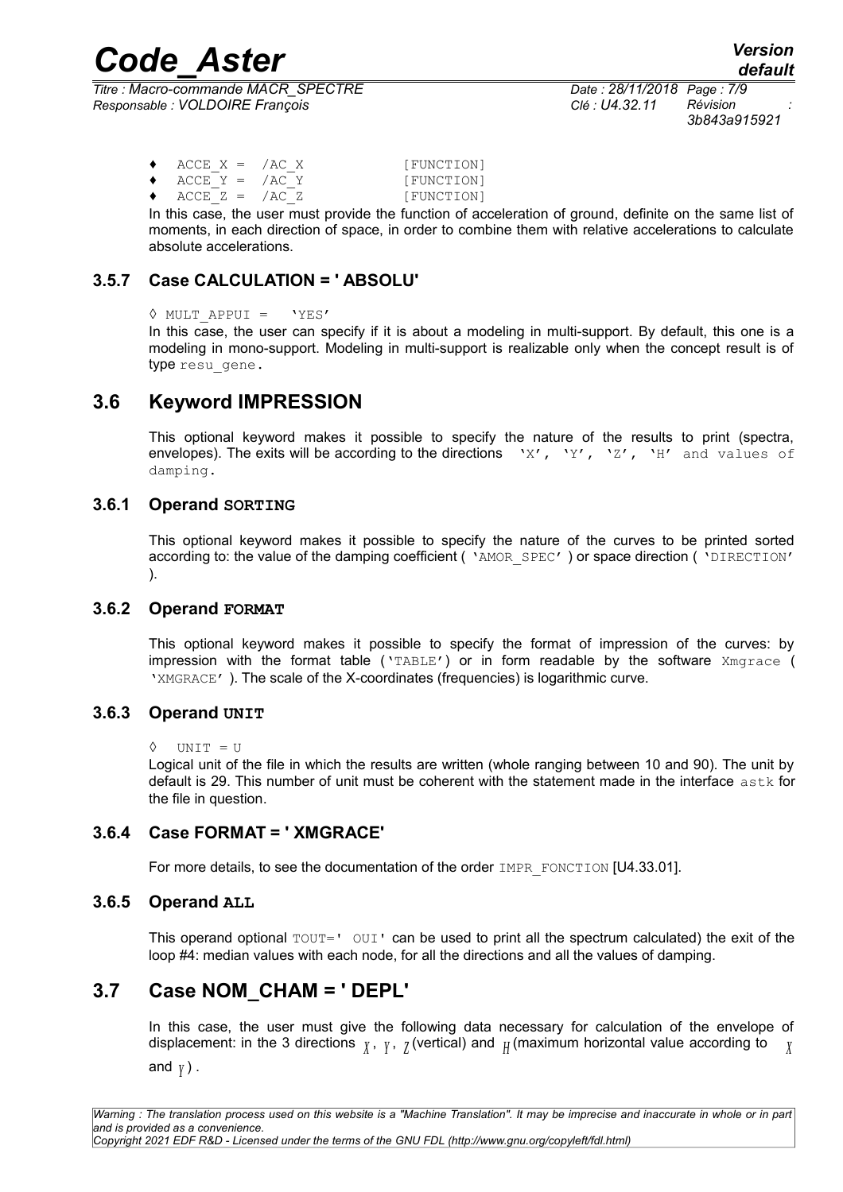*Titre : Macro-commande MACR\_SPECTRE Date : 28/11/2018 Page : 7/9 Responsable : VOLDOIRE François Clé : U4.32.11 Révision :*

*3b843a915921*

| $ACCE X = /AC X$         | [FUNCTION] |
|--------------------------|------------|
| $\bullet$ ACCE Y = /AC Y | [FUNCTION] |
| $ACCE Z = /AC Z$         | [FUNCTION] |

In this case, the user must provide the function of acceleration of ground, definite on the same list of moments, in each direction of space, in order to combine them with relative accelerations to calculate absolute accelerations.

### **3.5.7 Case CALCULATION = ' ABSOLU'**

#### ◊ MULT\_APPUI = 'YES'

In this case, the user can specify if it is about a modeling in multi-support. By default, this one is a modeling in mono-support. Modeling in multi-support is realizable only when the concept result is of type resu gene.

### **3.6 Keyword IMPRESSION**

This optional keyword makes it possible to specify the nature of the results to print (spectra, envelopes). The exits will be according to the directions  $'X', 'Y', 'Z', 'H'$  and values of damping.

#### **3.6.1 Operand SORTING**

This optional keyword makes it possible to specify the nature of the curves to be printed sorted according to: the value of the damping coefficient ( 'AMOR SPEC' ) or space direction ( 'DIRECTION' ).

#### **3.6.2 Operand FORMAT**

This optional keyword makes it possible to specify the format of impression of the curves: by impression with the format table ( $YTABLE'$ ) or in form readable by the software  $Xmgrac$  ( 'XMGRACE' ). The scale of the X-coordinates (frequencies) is logarithmic curve.

#### **3.6.3 Operand UNIT**

Logical unit of the file in which the results are written (whole ranging between 10 and 90). The unit by default is 29. This number of unit must be coherent with the statement made in the interface astk for the file in question.

#### **3.6.4 Case FORMAT = ' XMGRACE'**

For more details, to see the documentation of the order IMPR\_FONCTION [U4.33.01].

#### **3.6.5 Operand ALL**

This operand optional  $TOUT=$ '  $OUT$  can be used to print all the spectrum calculated) the exit of the loop #4: median values with each node, for all the directions and all the values of damping.

## **3.7 Case NOM\_CHAM = ' DEPL'**

In this case, the user must give the following data necessary for calculation of the envelope of displacement: in the 3 directions  $\frac{y}{\lambda}$ ,  $\frac{y}{\lambda}$  (vertical) and  $\frac{y}{H}$  (maximum horizontal value according to  $\frac{y}{\lambda}$ and  $\gamma$  ) .

<sup>◊</sup> UNIT = U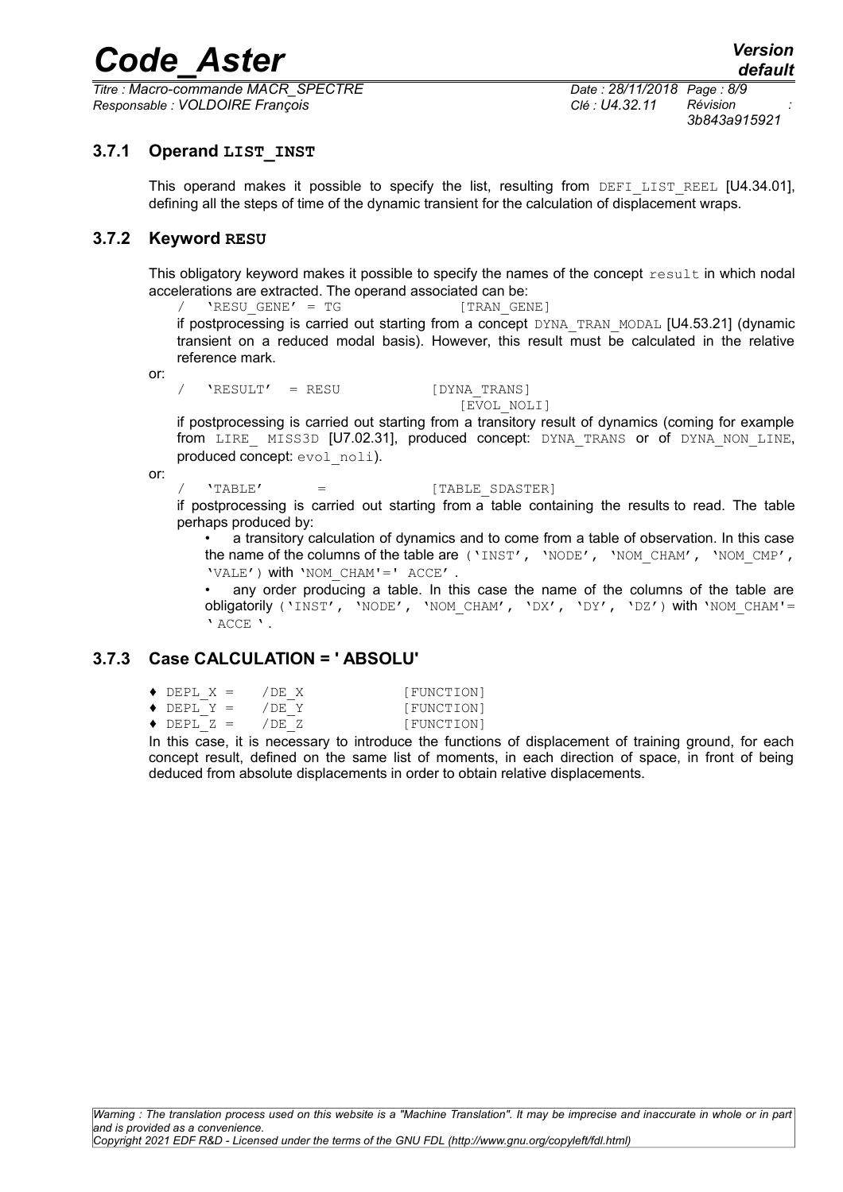*Titre : Macro-commande MACR\_SPECTRE Date : 28/11/2018 Page : 8/9 Responsable : VOLDOIRE François Clé : U4.32.11 Révision :*

*3b843a915921*

#### **3.7.1 Operand LIST\_INST**

This operand makes it possible to specify the list, resulting from DEFI LIST REEL [U4.34.01]. defining all the steps of time of the dynamic transient for the calculation of displacement wraps.

#### **3.7.2 Keyword RESU**

This obligatory keyword makes it possible to specify the names of the concept  $result$  in which nodal accelerations are extracted. The operand associated can be:

 $'$ RESU GENE' = TG [TRAN GENE]

if postprocessing is carried out starting from a concept DYNA\_TRAN\_MODAL [U4.53.21] (dynamic transient on a reduced modal basis). However, this result must be calculated in the relative reference mark.

or:

/ 'RESULT' = RESU [DYNA TRANS]

[EVOL\_NOLI]

if postprocessing is carried out starting from a transitory result of dynamics (coming for example from LIRE MISS3D [U7.02.31], produced concept: DYNA TRANS or of DYNA NON LINE, produced concept: evol noli).

or:

 $'TABLE'$  =  $[TABLESDASTER]$ 

if postprocessing is carried out starting from a table containing the results to read. The table perhaps produced by:

• a transitory calculation of dynamics and to come from a table of observation. In this case the name of the columns of the table are ('INST', 'NODE', 'NOM\_CHAM', 'NOM\_CMP', 'VALE') with 'NOM\_CHAM'=' ACCE' .

• any order producing a table. In this case the name of the columns of the table are obligatorily ('INST', 'NODE', 'NOM\_CHAM', 'DX', 'DY', 'DZ') with 'NOM\_CHAM'= ' ACCE ' .

#### **3.7.3 Case CALCULATION = ' ABSOLU'**

| $\bullet$ DEPL X = | /DE X | [FUNCTION] |
|--------------------|-------|------------|
| $\bullet$ DEPL Y = | /DE Y | [FUNCTION] |
| $\bullet$ DEPL Z = | /DEZ  | [FUNCTION] |
|                    |       |            |

In this case, it is necessary to introduce the functions of displacement of training ground, for each concept result, defined on the same list of moments, in each direction of space, in front of being deduced from absolute displacements in order to obtain relative displacements.